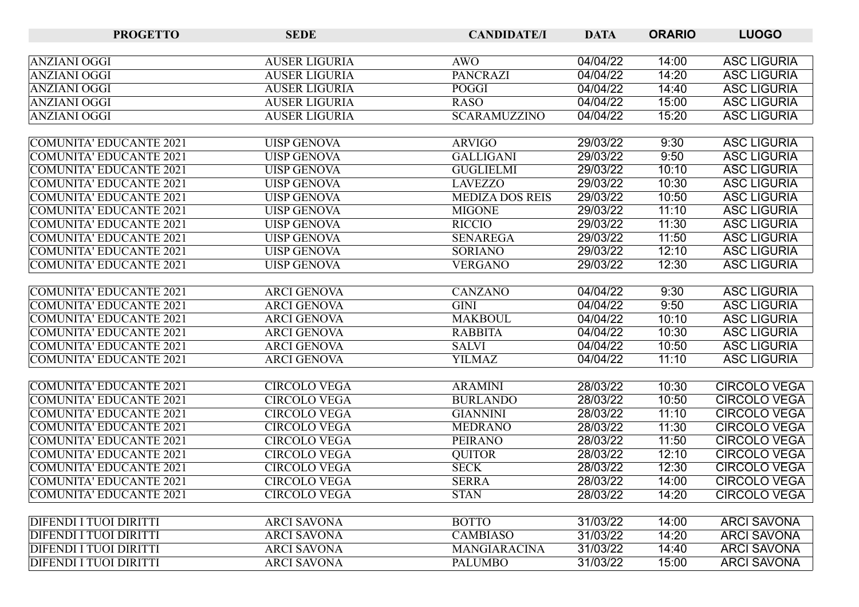| <b>PROGETTO</b>                | <b>SEDE</b>          | <b>CANDIDATE/I</b>     | <b>DATA</b> | <b>ORARIO</b> | <b>LUOGO</b>        |
|--------------------------------|----------------------|------------------------|-------------|---------------|---------------------|
|                                |                      |                        |             |               |                     |
| ANZIANI OGGI                   | <b>AUSER LIGURIA</b> | <b>AWO</b>             | 04/04/22    | 14:00         | <b>ASC LIGURIA</b>  |
| <b>ANZIANI OGGI</b>            | <b>AUSER LIGURIA</b> | <b>PANCRAZI</b>        | 04/04/22    | 14:20         | <b>ASC LIGURIA</b>  |
| <b>ANZIANI OGGI</b>            | <b>AUSER LIGURIA</b> | <b>POGGI</b>           | 04/04/22    | 14:40         | <b>ASC LIGURIA</b>  |
| ANZIANI OGGI                   | <b>AUSER LIGURIA</b> | <b>RASO</b>            | 04/04/22    | 15:00         | <b>ASC LIGURIA</b>  |
| <b>ANZIANI OGGI</b>            | <b>AUSER LIGURIA</b> | <b>SCARAMUZZINO</b>    | 04/04/22    | 15:20         | <b>ASC LIGURIA</b>  |
|                                |                      |                        |             |               |                     |
| COMUNITA' EDUCANTE 2021        | <b>UISP GENOVA</b>   | <b>ARVIGO</b>          | 29/03/22    | 9:30          | <b>ASC LIGURIA</b>  |
| <b>COMUNITA' EDUCANTE 2021</b> | <b>UISP GENOVA</b>   | <b>GALLIGANI</b>       | 29/03/22    | 9:50          | <b>ASC LIGURIA</b>  |
| COMUNITA' EDUCANTE 2021        | <b>UISP GENOVA</b>   | <b>GUGLIELMI</b>       | 29/03/22    | 10:10         | <b>ASC LIGURIA</b>  |
| COMUNITA' EDUCANTE 2021        | <b>UISP GENOVA</b>   | <b>LAVEZZO</b>         | 29/03/22    | 10:30         | <b>ASC LIGURIA</b>  |
| COMUNITA' EDUCANTE 2021        | <b>UISP GENOVA</b>   | <b>MEDIZA DOS REIS</b> | 29/03/22    | 10:50         | <b>ASC LIGURIA</b>  |
| COMUNITA' EDUCANTE 2021        | <b>UISP GENOVA</b>   | <b>MIGONE</b>          | 29/03/22    | 11:10         | <b>ASC LIGURIA</b>  |
| COMUNITA' EDUCANTE 2021        | <b>UISP GENOVA</b>   | <b>RICCIO</b>          | 29/03/22    | 11:30         | <b>ASC LIGURIA</b>  |
| <b>COMUNITA' EDUCANTE 2021</b> | <b>UISP GENOVA</b>   | <b>SENAREGA</b>        | 29/03/22    | 11:50         | <b>ASC LIGURIA</b>  |
| COMUNITA' EDUCANTE 2021        | <b>UISP GENOVA</b>   | <b>SORIANO</b>         | 29/03/22    | 12:10         | <b>ASC LIGURIA</b>  |
| COMUNITA' EDUCANTE 2021        | <b>UISP GENOVA</b>   | <b>VERGANO</b>         | 29/03/22    | 12:30         | <b>ASC LIGURIA</b>  |
|                                |                      |                        |             |               |                     |
| <b>COMUNITA' EDUCANTE 2021</b> | <b>ARCI GENOVA</b>   | <b>CANZANO</b>         | 04/04/22    | 9:30          | <b>ASC LIGURIA</b>  |
| <b>COMUNITA' EDUCANTE 2021</b> | <b>ARCI GENOVA</b>   | GINI                   | 04/04/22    | 9:50          | <b>ASC LIGURIA</b>  |
| <b>COMUNITA' EDUCANTE 2021</b> | <b>ARCI GENOVA</b>   | <b>MAKBOUL</b>         | 04/04/22    | 10:10         | <b>ASC LIGURIA</b>  |
| <b>COMUNITA' EDUCANTE 2021</b> | <b>ARCI GENOVA</b>   | <b>RABBITA</b>         | 04/04/22    | 10:30         | <b>ASC LIGURIA</b>  |
| COMUNITA' EDUCANTE 2021        | <b>ARCI GENOVA</b>   | <b>SALVI</b>           | 04/04/22    | 10:50         | <b>ASC LIGURIA</b>  |
| COMUNITA' EDUCANTE 2021        | <b>ARCI GENOVA</b>   | <b>YILMAZ</b>          | 04/04/22    | 11:10         | <b>ASC LIGURIA</b>  |
|                                |                      |                        |             |               |                     |
| COMUNITA' EDUCANTE 2021        | <b>CIRCOLO VEGA</b>  | <b>ARAMINI</b>         | 28/03/22    | 10:30         | <b>CIRCOLO VEGA</b> |
| <b>COMUNITA' EDUCANTE 2021</b> | <b>CIRCOLO VEGA</b>  | <b>BURLANDO</b>        | 28/03/22    | 10:50         | <b>CIRCOLO VEGA</b> |
| COMUNITA' EDUCANTE 2021        | <b>CIRCOLO VEGA</b>  | <b>GIANNINI</b>        | 28/03/22    | 11:10         | <b>CIRCOLO VEGA</b> |
| <b>COMUNITA' EDUCANTE 2021</b> | <b>CIRCOLO VEGA</b>  | <b>MEDRANO</b>         | 28/03/22    | 11:30         | <b>CIRCOLO VEGA</b> |
| <b>COMUNITA' EDUCANTE 2021</b> | <b>CIRCOLO VEGA</b>  | <b>PEIRANO</b>         | 28/03/22    | 11:50         | <b>CIRCOLO VEGA</b> |
| COMUNITA' EDUCANTE 2021        | <b>CIRCOLO VEGA</b>  | <b>QUITOR</b>          | 28/03/22    | 12:10         | <b>CIRCOLO VEGA</b> |
| <b>COMUNITA' EDUCANTE 2021</b> | <b>CIRCOLO VEGA</b>  | <b>SECK</b>            | 28/03/22    | 12:30         | <b>CIRCOLO VEGA</b> |
| COMUNITA' EDUCANTE 2021        | <b>CIRCOLO VEGA</b>  | <b>SERRA</b>           | 28/03/22    | 14:00         | <b>CIRCOLO VEGA</b> |
| <b>COMUNITA' EDUCANTE 2021</b> | <b>CIRCOLO VEGA</b>  | <b>STAN</b>            | 28/03/22    | 14:20         | <b>CIRCOLO VEGA</b> |
|                                |                      |                        |             |               |                     |
| <b>DIFENDI I TUOI DIRITTI</b>  | <b>ARCI SAVONA</b>   | <b>BOTTO</b>           | 31/03/22    | 14:00         | <b>ARCI SAVONA</b>  |
| <b>DIFENDI I TUOI DIRITTI</b>  | <b>ARCI SAVONA</b>   | <b>CAMBIASO</b>        | 31/03/22    | 14:20         | <b>ARCI SAVONA</b>  |
| <b>DIFENDI I TUOI DIRITTI</b>  | <b>ARCI SAVONA</b>   | MANGIARACINA           | 31/03/22    | 14:40         | <b>ARCI SAVONA</b>  |
| <b>DIFENDI I TUOI DIRITTI</b>  | <b>ARCI SAVONA</b>   | <b>PALUMBO</b>         | 31/03/22    | 15:00         | <b>ARCI SAVONA</b>  |
|                                |                      |                        |             |               |                     |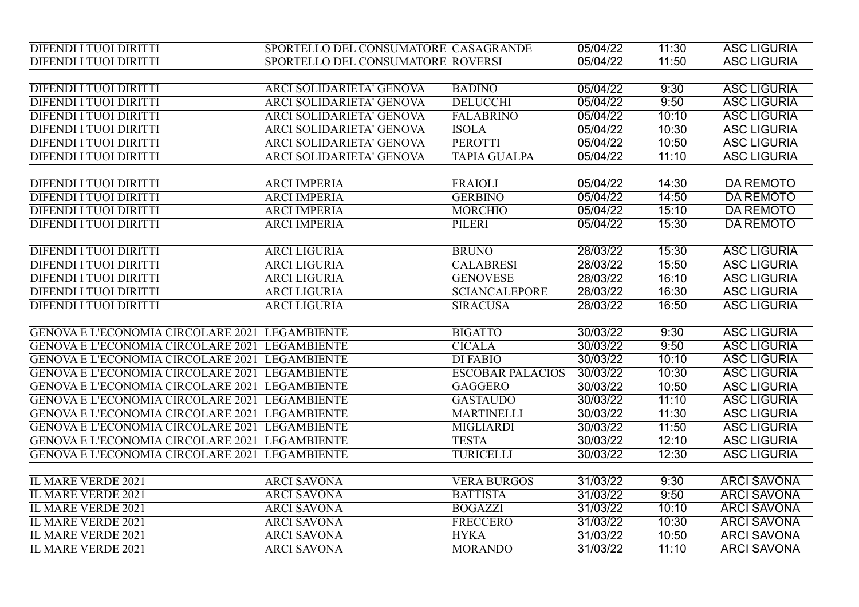| <b>DIFENDI I TUOI DIRITTI</b>                         | SPORTELLO DEL CONSUMATORE CASAGRANDE |                         | 05/04/22 | 11:30 | <b>ASC LIGURIA</b> |
|-------------------------------------------------------|--------------------------------------|-------------------------|----------|-------|--------------------|
| <b>DIFENDI I TUOI DIRITTI</b>                         | SPORTELLO DEL CONSUMATORE ROVERSI    |                         | 05/04/22 | 11:50 | <b>ASC LIGURIA</b> |
|                                                       |                                      |                         |          |       |                    |
| <b>DIFENDI I TUOI DIRITTI</b>                         | <b>ARCI SOLIDARIETA' GENOVA</b>      | <b>BADINO</b>           | 05/04/22 | 9:30  | <b>ASC LIGURIA</b> |
| <b>DIFENDI I TUOI DIRITTI</b>                         | <b>ARCI SOLIDARIETA' GENOVA</b>      | <b>DELUCCHI</b>         | 05/04/22 | 9:50  | <b>ASC LIGURIA</b> |
| <b>DIFENDI I TUOI DIRITTI</b>                         | <b>ARCI SOLIDARIETA' GENOVA</b>      | <b>FALABRINO</b>        | 05/04/22 | 10:10 | <b>ASC LIGURIA</b> |
| <b>DIFENDI I TUOI DIRITTI</b>                         | <b>ARCI SOLIDARIETA' GENOVA</b>      | <b>ISOLA</b>            | 05/04/22 | 10:30 | <b>ASC LIGURIA</b> |
| <b>DIFENDI I TUOI DIRITTI</b>                         | <b>ARCI SOLIDARIETA' GENOVA</b>      | <b>PEROTTI</b>          | 05/04/22 | 10:50 | <b>ASC LIGURIA</b> |
| <b>DIFENDI I TUOI DIRITTI</b>                         | ARCI SOLIDARIETA' GENOVA             | <b>TAPIA GUALPA</b>     | 05/04/22 | 11:10 | <b>ASC LIGURIA</b> |
|                                                       |                                      |                         |          |       |                    |
| <b>DIFENDI I TUOI DIRITTI</b>                         | <b>ARCI IMPERIA</b>                  | <b>FRAIOLI</b>          | 05/04/22 | 14:30 | <b>DA REMOTO</b>   |
| <b>DIFENDI I TUOI DIRITTI</b>                         | <b>ARCI IMPERIA</b>                  | <b>GERBINO</b>          | 05/04/22 | 14:50 | <b>DA REMOTO</b>   |
| <b>DIFENDI I TUOI DIRITTI</b>                         | <b>ARCI IMPERIA</b>                  | <b>MORCHIO</b>          | 05/04/22 | 15:10 | <b>DA REMOTO</b>   |
| <b>DIFENDI I TUOI DIRITTI</b>                         | <b>ARCI IMPERIA</b>                  | PILERI                  | 05/04/22 | 15:30 | <b>DA REMOTO</b>   |
|                                                       |                                      |                         |          |       |                    |
| <b>DIFENDI I TUOI DIRITTI</b>                         | <b>ARCI LIGURIA</b>                  | <b>BRUNO</b>            | 28/03/22 | 15:30 | <b>ASC LIGURIA</b> |
| <b>DIFENDI I TUOI DIRITTI</b>                         | <b>ARCI LIGURIA</b>                  | <b>CALABRESI</b>        | 28/03/22 | 15:50 | <b>ASC LIGURIA</b> |
| <b>DIFENDI I TUOI DIRITTI</b>                         | <b>ARCI LIGURIA</b>                  | <b>GENOVESE</b>         | 28/03/22 | 16:10 | <b>ASC LIGURIA</b> |
| <b>DIFENDI I TUOI DIRITTI</b>                         | <b>ARCI LIGURIA</b>                  | <b>SCIANCALEPORE</b>    | 28/03/22 | 16:30 | <b>ASC LIGURIA</b> |
| <b>DIFENDI I TUOI DIRITTI</b>                         | <b>ARCI LIGURIA</b>                  | <b>SIRACUSA</b>         | 28/03/22 | 16:50 | <b>ASC LIGURIA</b> |
|                                                       |                                      |                         |          |       |                    |
| <b>GENOVA E L'ECONOMIA CIRCOLARE 2021 LEGAMBIENTE</b> |                                      | <b>BIGATTO</b>          | 30/03/22 | 9:30  | <b>ASC LIGURIA</b> |
| GENOVA E L'ECONOMIA CIRCOLARE 2021 LEGAMBIENTE        |                                      | <b>CICALA</b>           | 30/03/22 | 9:50  | <b>ASC LIGURIA</b> |
| GENOVA E L'ECONOMIA CIRCOLARE 2021 LEGAMBIENTE        |                                      | <b>DI FABIO</b>         | 30/03/22 | 10:10 | <b>ASC LIGURIA</b> |
| GENOVA E L'ECONOMIA CIRCOLARE 2021 LEGAMBIENTE        |                                      | <b>ESCOBAR PALACIOS</b> | 30/03/22 | 10:30 | <b>ASC LIGURIA</b> |
| GENOVA E L'ECONOMIA CIRCOLARE 2021 LEGAMBIENTE        |                                      | <b>GAGGERO</b>          | 30/03/22 | 10:50 | <b>ASC LIGURIA</b> |
| GENOVA E L'ECONOMIA CIRCOLARE 2021 LEGAMBIENTE        |                                      | <b>GASTAUDO</b>         | 30/03/22 | 11:10 | <b>ASC LIGURIA</b> |
| GENOVA E L'ECONOMIA CIRCOLARE 2021 LEGAMBIENTE        |                                      | <b>MARTINELLI</b>       | 30/03/22 | 11:30 | <b>ASC LIGURIA</b> |
| GENOVA E L'ECONOMIA CIRCOLARE 2021 LEGAMBIENTE        |                                      | <b>MIGLIARDI</b>        | 30/03/22 | 11:50 | <b>ASC LIGURIA</b> |
| GENOVA E L'ECONOMIA CIRCOLARE 2021 LEGAMBIENTE        |                                      | <b>TESTA</b>            | 30/03/22 | 12:10 | <b>ASC LIGURIA</b> |
| GENOVA E L'ECONOMIA CIRCOLARE 2021 LEGAMBIENTE        |                                      | <b>TURICELLI</b>        | 30/03/22 | 12:30 | <b>ASC LIGURIA</b> |
|                                                       |                                      |                         |          |       |                    |
| <b>IL MARE VERDE 2021</b>                             | <b>ARCI SAVONA</b>                   | <b>VERA BURGOS</b>      | 31/03/22 | 9:30  | <b>ARCI SAVONA</b> |
| <b>IL MARE VERDE 2021</b>                             | <b>ARCI SAVONA</b>                   | <b>BATTISTA</b>         | 31/03/22 | 9:50  | <b>ARCI SAVONA</b> |
| <b>IL MARE VERDE 2021</b>                             | <b>ARCI SAVONA</b>                   | <b>BOGAZZI</b>          | 31/03/22 | 10:10 | <b>ARCI SAVONA</b> |
| <b>IL MARE VERDE 2021</b>                             | <b>ARCI SAVONA</b>                   | FRECCERO                | 31/03/22 | 10:30 | <b>ARCI SAVONA</b> |
| <b>IL MARE VERDE 2021</b>                             | <b>ARCI SAVONA</b>                   | <b>HYKA</b>             | 31/03/22 | 10:50 | <b>ARCI SAVONA</b> |
| <b>IL MARE VERDE 2021</b>                             | <b>ARCI SAVONA</b>                   | <b>MORANDO</b>          | 31/03/22 | 11:10 | <b>ARCI SAVONA</b> |